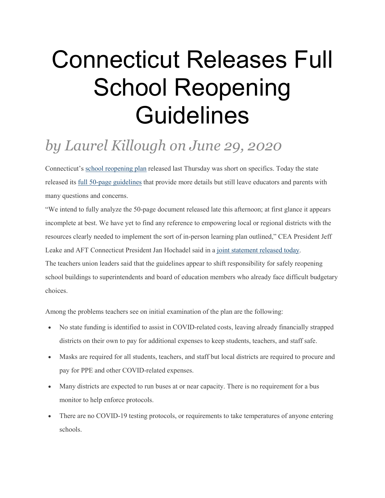## Connecticut Releases Full School Reopening Guidelines

## *by Laurel Killough on June 29, 2020*

Connecticut's school [reopening](https://blogcea.org/2020/06/25/connecticut-announces-plans-to-fully-reopen-schools-in-the-fall/) plan released last Thursday was short on specifics. Today the state released its full 50-page [guidelines](https://portal.ct.gov/-/media/SDE/COVID-19/CTReopeningSchools.pdf) that provide more details but still leave educators and parents with many questions and concerns.

"We intend to fully analyze the 50-page document released late this afternoon; at first glance it appears incomplete at best. We have yet to find any reference to empowering local or regional districts with the resources clearly needed to implement the sort of in-person learning plan outlined," CEA President Jeff Leake and AFT Connecticut President Jan Hochadel said in a joint [statement](https://blogcea.org/wp-content/uploads/2020/06/62920-CEA-AFT-Reopen-50-page-plan.pdf) released today. The teachers union leaders said that the guidelines appear to shift responsibility for safely reopening school buildings to superintendents and board of education members who already face difficult budgetary choices.

Among the problems teachers see on initial examination of the plan are the following:

- No state funding is identified to assist in COVID-related costs, leaving already financially strapped districts on their own to pay for additional expenses to keep students, teachers, and staff safe.
- Masks are required for all students, teachers, and staff but local districts are required to procure and pay for PPE and other COVID-related expenses.
- Many districts are expected to run buses at or near capacity. There is no requirement for a bus monitor to help enforce protocols.
- There are no COVID-19 testing protocols, or requirements to take temperatures of anyone entering schools.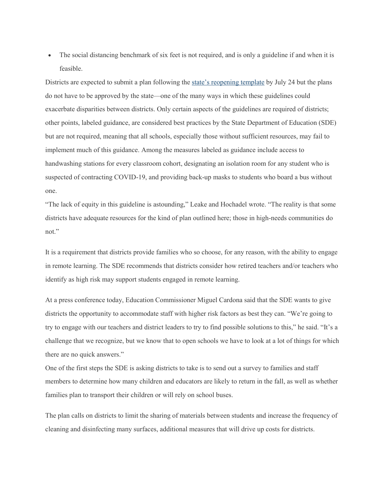• The social distancing benchmark of six feet is not required, and is only a guideline if and when it is feasible.

Districts are expected to submit a plan following the state's [reopening](https://portal.ct.gov/-/media/SDE/COVID-19/Reopening_Template.pdf) template by July 24 but the plans do not have to be approved by the state—one of the many ways in which these guidelines could exacerbate disparities between districts. Only certain aspects of the guidelines are required of districts; other points, labeled guidance, are considered best practices by the State Department of Education (SDE) but are not required, meaning that all schools, especially those without sufficient resources, may fail to implement much of this guidance. Among the measures labeled as guidance include access to handwashing stations for every classroom cohort, designating an isolation room for any student who is suspected of contracting COVID-19, and providing back-up masks to students who board a bus without one.

"The lack of equity in this guideline is astounding," Leake and Hochadel wrote. "The reality is that some districts have adequate resources for the kind of plan outlined here; those in high-needs communities do not."

It is a requirement that districts provide families who so choose, for any reason, with the ability to engage in remote learning. The SDE recommends that districts consider how retired teachers and/or teachers who identify as high risk may support students engaged in remote learning.

At a press conference today, Education Commissioner Miguel Cardona said that the SDE wants to give districts the opportunity to accommodate staff with higher risk factors as best they can. "We're going to try to engage with our teachers and district leaders to try to find possible solutions to this," he said. "It's a challenge that we recognize, but we know that to open schools we have to look at a lot of things for which there are no quick answers."

One of the first steps the SDE is asking districts to take is to send out a survey to families and staff members to determine how many children and educators are likely to return in the fall, as well as whether families plan to transport their children or will rely on school buses.

The plan calls on districts to limit the sharing of materials between students and increase the frequency of cleaning and disinfecting many surfaces, additional measures that will drive up costs for districts.